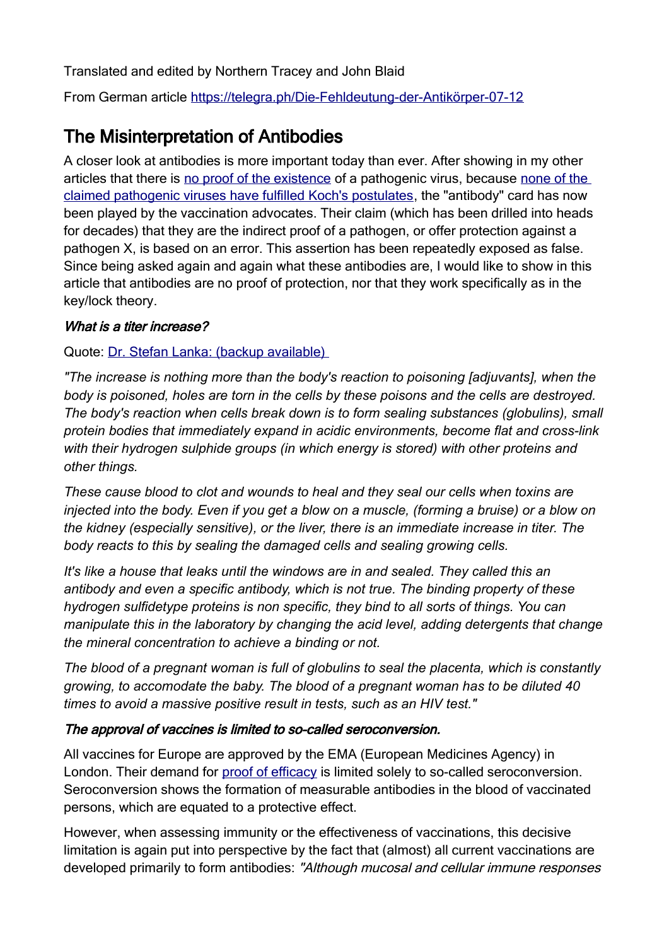Translated and edited by Northern Tracey and John Blaid

From German article [https://telegra.ph/Die-Fehldeutung-der-Antikörper-07-12](https://l.facebook.com/l.php?u=https%3A%2F%2Ftelegra.ph%2FDie-Fehldeutung-der-Antik%C3%B6rper-07-12%3Ffbclid%3DIwAR1bN6z0va7q3b2vsP2szK-kwMgs2pgDr7oUI7rhZFSJhClxeiGpXwMSu_0&h=AT2hdMsqjQFotXFfNzrjCe54Dv0z4B6OogNblbF0a9N0u_Jt208cJIIkNP1D_A9Y3NvMRK-e0SvTSd0qyUsffq4G1Nq4BRAny2t82xMfPC0UG1VGZgrRmCUNWnDBzpJhyO97Gg)

# The Misinterpretation of Antibodies

A closer look at antibodies is more important today than ever. After showing in my other articles that there is [no proof of the existence](https://telegra.ph/Gerichtsprotokolle-best%C3%A4tigen-Es-existiert-kein-wissenschaftlicher-Nachweis-f%C3%BCr-das-Masernvirus-07-06) of a pathogenic virus, because [none of the](https://telegra.ph/Alle-f%C3%BChrenden-Wissenschaftler-best%C3%A4tigen-COVID-19-existiert-nicht-07-03)  [claimed pathogenic viruses have fulfilled Koch's postulates](https://telegra.ph/Alle-f%C3%BChrenden-Wissenschaftler-best%C3%A4tigen-COVID-19-existiert-nicht-07-03), the "antibody" card has now been played by the vaccination advocates. Their claim (which has been drilled into heads for decades) that they are the indirect proof of a pathogen, or offer protection against a pathogen X, is based on an error. This assertion has been repeatedly exposed as false. Since being asked again and again what these antibodies are, I would like to show in this article that antibodies are no proof of protection, nor that they work specifically as in the key/lock theory.

#### What is a titer increase?

Quote: [Dr. Stefan Lanka: \(backup available\)](https://www.youtube.com/watch?v=KexlGm1ixW8&t) 

*"The increase is nothing more than the body's reaction to poisoning [adjuvants], when the body is poisoned, holes are torn in the cells by these poisons and the cells are destroyed. The body's reaction when cells break down is to form sealing substances (globulins), small protein bodies that immediately expand in acidic environments, become flat and cross-link with their hydrogen sulphide groups (in which energy is stored) with other proteins and other things.* 

*These cause blood to clot and wounds to heal and they seal our cells when toxins are injected into the body. Even if you get a blow on a muscle, (forming a bruise) or a blow on the kidney (especially sensitive), or the liver, there is an immediate increase in titer. The body reacts to this by sealing the damaged cells and sealing growing cells.* 

*It's like a house that leaks until the windows are in and sealed. They called this an antibody and even a specific antibody, which is not true. The binding property of these hydrogen sulfidetype proteins is non specific, they bind to all sorts of things. You can manipulate this in the laboratory by changing the acid level, adding detergents that change the mineral concentration to achieve a binding or not.* 

*The blood of a pregnant woman is full of globulins to seal the placenta, which is constantly growing, to accomodate the baby. The blood of a pregnant woman has to be diluted 40 times to avoid a massive positive result in tests, such as an HIV test."* 

### The approval of vaccines is limited to so-called seroconversion.

All vaccines for Europe are approved by the EMA (European Medicines Agency) in London. Their demand for [proof of efficacy](https://www.aerztezeitung.at/fileadmin/PDF/2017_Verlinkungen/State_Entwicklung_Impfstoffe.pdf) is limited solely to so-called seroconversion. Seroconversion shows the formation of measurable antibodies in the blood of vaccinated persons, which are equated to a protective effect.

However, when assessing immunity or the effectiveness of vaccinations, this decisive limitation is again put into perspective by the fact that (almost) all current vaccinations are developed primarily to form antibodies: "Although mucosal and cellular immune responses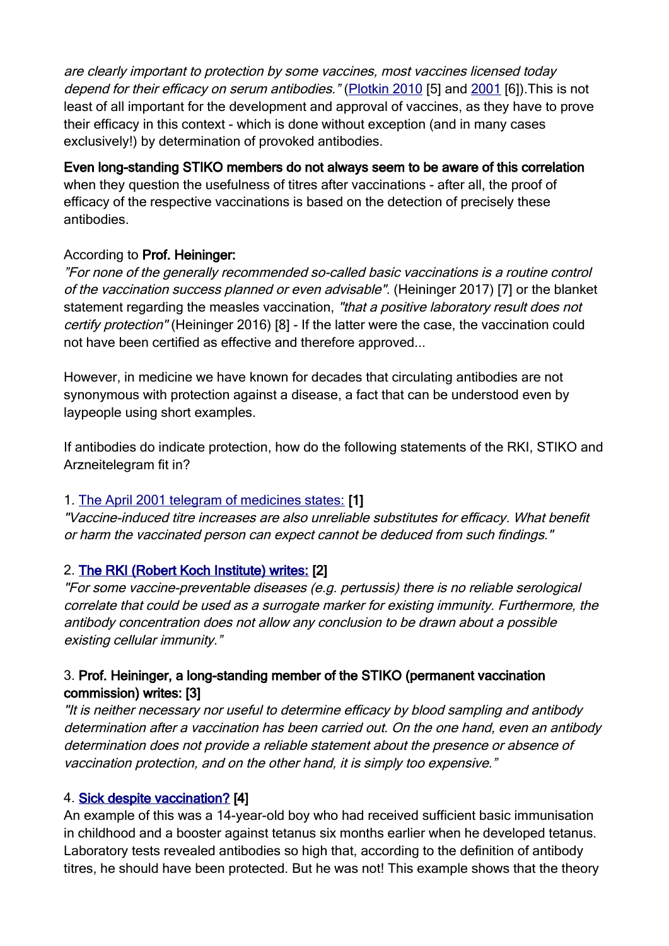are clearly important to protection by some vaccines, most vaccines licensed today depend for their efficacy on serum antibodies." [\(Plotkin 2010](http://cvi.asm.org/content/17/7/1055.full.pdf+html) [5] and [2001](https://europepmc.org/article/med/11176570) [6]). This is not least of all important for the development and approval of vaccines, as they have to prove their efficacy in this context - which is done without exception (and in many cases exclusively!) by determination of provoked antibodies.

## Even long-standing STIKO members do not always seem to be aware of this correlation

when they question the usefulness of titres after vaccinations - after all, the proof of efficacy of the respective vaccinations is based on the detection of precisely these antibodies.

### According to Prof. Heininger:

"For none of the generally recommended so-called basic vaccinations is a routine control of the vaccination success planned or even advisable". (Heininger 2017) [7] or the blanket statement regarding the measles vaccination, "that a positive laboratory result does not certify protection" (Heininger 2016) [8] - If the latter were the case, the vaccination could not have been certified as effective and therefore approved...

However, in medicine we have known for decades that circulating antibodies are not synonymous with protection against a disease, a fact that can be understood even by laypeople using short examples.

If antibodies do indicate protection, how do the following statements of the RKI, STIKO and Arzneitelegram fit in?

### 1. [The April 2001 telegram of medicines states:](https://www.arznei-telegramm.de/html/2001_04/0104041_01.html) [1]

"Vaccine-induced titre increases are also unreliable substitutes for efficacy. What benefit or harm the vaccinated person can expect cannot be deduced from such findings."

# 2. [The RKI \(Robert Koch Institute\) writes:](https://www.rki.de/DE/Content/Infekt/EpidBull/Archiv/2012/Ausgaben/30_12.pdf?__blob=publicationFile) [2]

"For some vaccine-preventable diseases (e.g. pertussis) there is no reliable serological correlate that could be used as a surrogate marker for existing immunity. Furthermore, the antibody concentration does not allow any conclusion to be drawn about a possible existing cellular immunity."

### 3. Prof. Heininger, a long-standing member of the STIKO (permanent vaccination commission) writes: [3]

"It is neither necessary nor useful to determine efficacy by blood sampling and antibody determination after a vaccination has been carried out. On the one hand, even an antibody determination does not provide a reliable statement about the presence or absence of vaccination protection, and on the other hand, it is simply too expensive."

### 4. [Sick despite vaccination?](https://www.rki.de/DE/Content/Infekt/EpidBull/Archiv/2008/Ausgaben/24_08.pdf?__blob=publicationFile) [4]

An example of this was a 14-year-old boy who had received sufficient basic immunisation in childhood and a booster against tetanus six months earlier when he developed tetanus. Laboratory tests revealed antibodies so high that, according to the definition of antibody titres, he should have been protected. But he was not! This example shows that the theory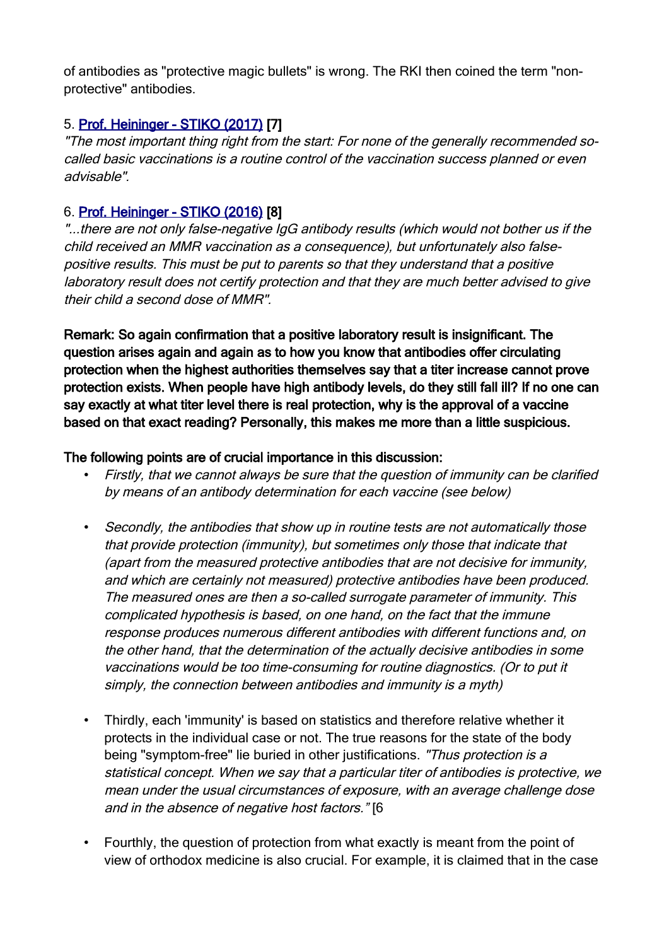of antibodies as "protective magic bullets" is wrong. The RKI then coined the term "nonprotective" antibodies.

### 5. [Prof. Heininger - STIKO \(2017\)](https://www.rosenfluh.ch/media/arsmedici/2017/04/Impfungen-und-Antikoerpertiter.pdf) [7]

"The most important thing right from the start: For none of the generally recommended socalled basic vaccinations is a routine control of the vaccination success planned or even advisable".

### 6. [Prof. Heininger - STIKO \(2016\)](http://www.kinder-undjugendarzt.de/download/47.(65.)Jahrgang2016/KJA_4-2016_Web.pdf) [8]

"...there are not only false-negative IgG antibody results (which would not bother us if the child received an MMR vaccination as a consequence), but unfortunately also falsepositive results. This must be put to parents so that they understand that a positive laboratory result does not certify protection and that they are much better advised to give their child a second dose of MMR".

Remark: So again confirmation that a positive laboratory result is insignificant. The question arises again and again as to how you know that antibodies offer circulating protection when the highest authorities themselves say that a titer increase cannot prove protection exists. When people have high antibody levels, do they still fall ill? If no one can say exactly at what titer level there is real protection, why is the approval of a vaccine based on that exact reading? Personally, this makes me more than a little suspicious.

### The following points are of crucial importance in this discussion:

- Firstly, that we cannot always be sure that the question of immunity can be clarified by means of an antibody determination for each vaccine (see below)
- Secondly, the antibodies that show up in routine tests are not automatically those that provide protection (immunity), but sometimes only those that indicate that (apart from the measured protective antibodies that are not decisive for immunity, and which are certainly not measured) protective antibodies have been produced. The measured ones are then a so-called surrogate parameter of immunity. This complicated hypothesis is based, on one hand, on the fact that the immune response produces numerous different antibodies with different functions and, on the other hand, that the determination of the actually decisive antibodies in some vaccinations would be too time-consuming for routine diagnostics. (Or to put it simply, the connection between antibodies and immunity is a myth)
- Thirdly, each 'immunity' is based on statistics and therefore relative whether it protects in the individual case or not. The true reasons for the state of the body being "symptom-free" lie buried in other justifications. "Thus protection is a statistical concept. When we say that a particular titer of antibodies is protective, we mean under the usual circumstances of exposure, with an average challenge dose and in the absence of negative host factors." [6
- Fourthly, the question of protection from what exactly is meant from the point of view of orthodox medicine is also crucial. For example, it is claimed that in the case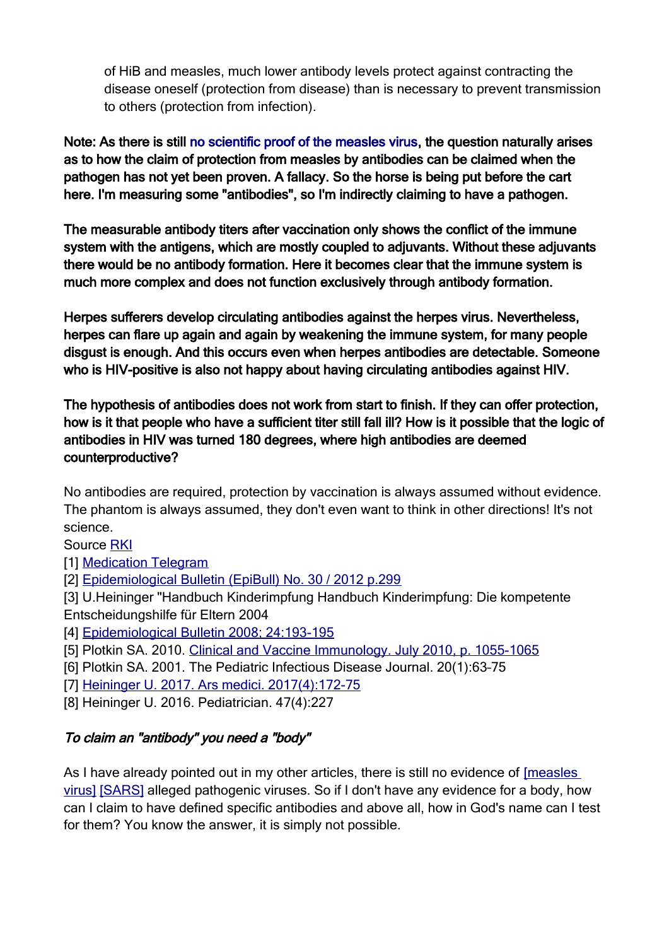of HiB and measles, much lower antibody levels protect against contracting the disease oneself (protection from disease) than is necessary to prevent transmission to others (protection from infection).

Note: As there is still [no scientific proof of the measles virus](https://telegra.ph/Gerichtsprotokolle-best%C3%A4tigen-Es-existiert-kein-wissenschaftlicher-Nachweis-f%C3%BCr-das-Masernvirus-07-06), the question naturally arises as to how the claim of protection from measles by antibodies can be claimed when the pathogen has not yet been proven. A fallacy. So the horse is being put before the cart here. I'm measuring some "antibodies", so I'm indirectly claiming to have a pathogen.

The measurable antibody titers after vaccination only shows the conflict of the immune system with the antigens, which are mostly coupled to adjuvants. Without these adjuvants there would be no antibody formation. Here it becomes clear that the immune system is much more complex and does not function exclusively through antibody formation.

Herpes sufferers develop circulating antibodies against the herpes virus. Nevertheless, herpes can flare up again and again by weakening the immune system, for many people disgust is enough. And this occurs even when herpes antibodies are detectable. Someone who is HIV-positive is also not happy about having circulating antibodies against HIV.

The hypothesis of antibodies does not work from start to finish. If they can offer protection, how is it that people who have a sufficient titer still fall ill? How is it possible that the logic of antibodies in HIV was turned 180 degrees, where high antibodies are deemed counterproductive?

No antibodies are required, protection by vaccination is always assumed without evidence. The phantom is always assumed, they don't even want to think in other directions! It's not science.

Source [RKI](https://www.rki.de/SharedDocs/FAQ/Impfen/MMR/FAQ_Uebersicht_MSG.html#:~:text=Sind%20zwei%20Impfungen%20gegen%20Masern,Impfung%20h%C3%A4lt%20wahrscheinlich%20lebenslang%20an.)

[1] [Medication Telegram](https://www.arznei-telegramm.de/html/2001_04/0104041_01.html)

[2] [Epidemiological Bulletin \(EpiBull\) No. 30 / 2012 p.299](https://www.rki.de/DE/Content/Infekt/EpidBull/Archiv/2012/Ausgaben/30_12.pdf?__blob=publicationFile)

[3] U.Heininger "Handbuch Kinderimpfung Handbuch Kinderimpfung: Die kompetente Entscheidungshilfe für Eltern 2004

[4] [Epidemiological Bulletin 2008; 24:193-195](https://www.rki.de/DE/Content/Infekt/EpidBull/Archiv/2008/Ausgaben/24_08.pdf?__blob=publicationFile)

- [5] Plotkin SA. 2010. Clinical and Vaccine Immunology. July 2010, p. 1055-1065
- [6] Plotkin SA. 2001. The Pediatric Infectious Disease Journal. 20(1):63–75

[7] [Heininger U. 2017. Ars medici. 2017\(4\):172-75](https://www.rosenfluh.ch/media/arsmedici/2017/04/Impfungen-und-Antikoerpertiter.pdf)

[8] Heininger U. 2016. Pediatrician. 47(4):227

# To claim an "antibody" you need a "body"

As I have already pointed out in my other articles, there is still no evidence of [\[measles](https://telegra.ph/Gerichtsprotokolle-best%C3%A4tigen-Es-existiert-kein-wissenschaftlicher-Nachweis-f%C3%BCr-das-Masernvirus-07-06)  [virus\]](https://telegra.ph/Gerichtsprotokolle-best%C3%A4tigen-Es-existiert-kein-wissenschaftlicher-Nachweis-f%C3%BCr-das-Masernvirus-07-06) [\[SARS\]](https://telegra.ph/Alle-f%C3%BChrenden-Wissenschaftler-best%C3%A4tigen-COVID-19-existiert-nicht-07-03) alleged pathogenic viruses. So if I don't have any evidence for a body, how can I claim to have defined specific antibodies and above all, how in God's name can I test for them? You know the answer, it is simply not possible.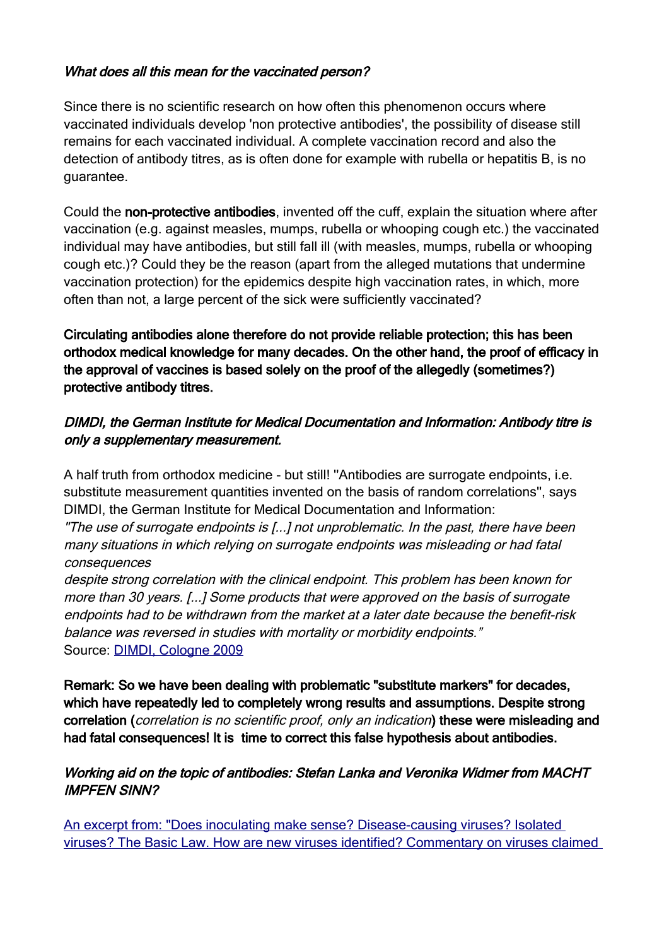#### What does all this mean for the vaccinated person?

Since there is no scientific research on how often this phenomenon occurs where vaccinated individuals develop 'non protective antibodies', the possibility of disease still remains for each vaccinated individual. A complete vaccination record and also the detection of antibody titres, as is often done for example with rubella or hepatitis B, is no guarantee.

Could the non-protective antibodies, invented off the cuff, explain the situation where after vaccination (e.g. against measles, mumps, rubella or whooping cough etc.) the vaccinated individual may have antibodies, but still fall ill (with measles, mumps, rubella or whooping cough etc.)? Could they be the reason (apart from the alleged mutations that undermine vaccination protection) for the epidemics despite high vaccination rates, in which, more often than not, a large percent of the sick were sufficiently vaccinated?

Circulating antibodies alone therefore do not provide reliable protection; this has been orthodox medical knowledge for many decades. On the other hand, the proof of efficacy in the approval of vaccines is based solely on the proof of the allegedly (sometimes?) protective antibody titres.

#### DIMDI, the German Institute for Medical Documentation and Information: Antibody titre is only a supplementary measurement.

A half truth from orthodox medicine - but still! ''Antibodies are surrogate endpoints, i.e. substitute measurement quantities invented on the basis of random correlations'', says DIMDI, the German Institute for Medical Documentation and Information:

"The use of surrogate endpoints is [...] not unproblematic. In the past, there have been many situations in which relying on surrogate endpoints was misleading or had fatal consequences

despite strong correlation with the clinical endpoint. This problem has been known for more than 30 years. [...] Some products that were approved on the basis of surrogate endpoints had to be withdrawn from the market at a later date because the benefit-risk balance was reversed in studies with mortality or morbidity endpoints." Source: [DIMDI, Cologne 2009](https://impfen-nein-danke.de/u/hta250_bericht_de.pdf)

Remark: So we have been dealing with problematic "substitute markers" for decades, which have repeatedly led to completely wrong results and assumptions. Despite strong correlation (correlation is no scientific proof, only an indication) these were misleading and had fatal consequences! It is time to correct this false hypothesis about antibodies.

#### Working aid on the topic of antibodies: Stefan Lanka and Veronika Widmer from MACHT IMPFEN SINN?

 [An excerpt from: "Does inoculating make sense? Disease-causing viruses? Isolated](https://archive.org/details/Dr.StefanLanka-MachtImpfenSinn/page/n5/mode/2up)  [viruses? The Basic Law. How are new viruses identified? Commentary on viruses claimed](https://archive.org/details/Dr.StefanLanka-MachtImpfenSinn/page/n5/mode/2up)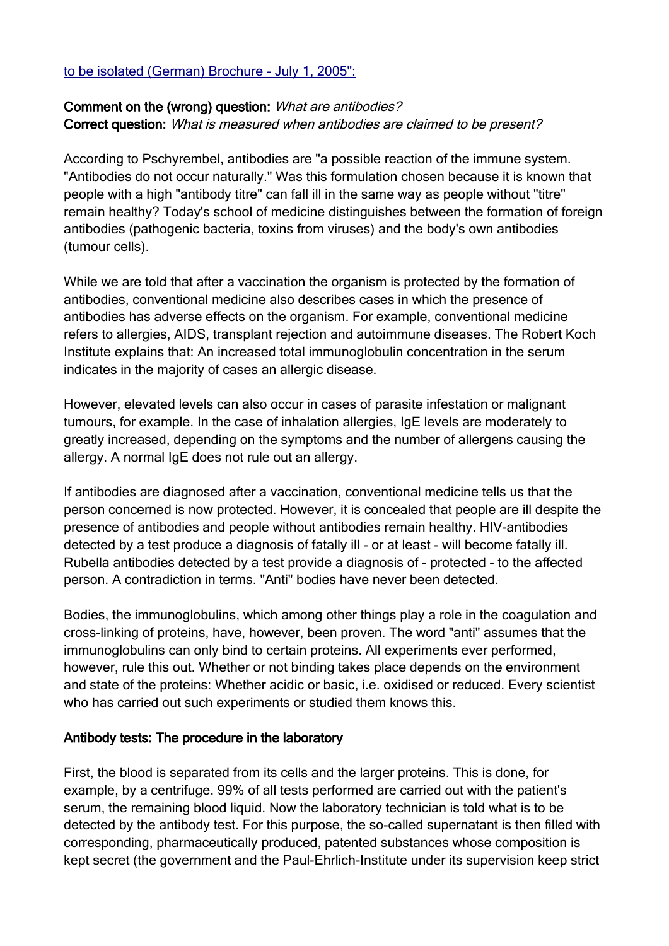#### [to be isolated \(German\) Brochure - July 1, 2005":](https://archive.org/details/Dr.StefanLanka-MachtImpfenSinn/page/n5/mode/2up)

#### Comment on the (wrong) question: What are antibodies? Correct question: What is measured when antibodies are claimed to be present?

According to Pschyrembel, antibodies are "a possible reaction of the immune system. "Antibodies do not occur naturally." Was this formulation chosen because it is known that people with a high "antibody titre" can fall ill in the same way as people without "titre" remain healthy? Today's school of medicine distinguishes between the formation of foreign antibodies (pathogenic bacteria, toxins from viruses) and the body's own antibodies (tumour cells).

While we are told that after a vaccination the organism is protected by the formation of antibodies, conventional medicine also describes cases in which the presence of antibodies has adverse effects on the organism. For example, conventional medicine refers to allergies, AIDS, transplant rejection and autoimmune diseases. The Robert Koch Institute explains that: An increased total immunoglobulin concentration in the serum indicates in the majority of cases an allergic disease.

However, elevated levels can also occur in cases of parasite infestation or malignant tumours, for example. In the case of inhalation allergies, IgE levels are moderately to greatly increased, depending on the symptoms and the number of allergens causing the allergy. A normal IgE does not rule out an allergy.

If antibodies are diagnosed after a vaccination, conventional medicine tells us that the person concerned is now protected. However, it is concealed that people are ill despite the presence of antibodies and people without antibodies remain healthy. HIV-antibodies detected by a test produce a diagnosis of fatally ill - or at least - will become fatally ill. Rubella antibodies detected by a test provide a diagnosis of - protected - to the affected person. A contradiction in terms. "Anti" bodies have never been detected.

Bodies, the immunoglobulins, which among other things play a role in the coagulation and cross-linking of proteins, have, however, been proven. The word "anti" assumes that the immunoglobulins can only bind to certain proteins. All experiments ever performed, however, rule this out. Whether or not binding takes place depends on the environment and state of the proteins: Whether acidic or basic, i.e. oxidised or reduced. Every scientist who has carried out such experiments or studied them knows this.

#### Antibody tests: The procedure in the laboratory

First, the blood is separated from its cells and the larger proteins. This is done, for example, by a centrifuge. 99% of all tests performed are carried out with the patient's serum, the remaining blood liquid. Now the laboratory technician is told what is to be detected by the antibody test. For this purpose, the so-called supernatant is then filled with corresponding, pharmaceutically produced, patented substances whose composition is kept secret (the government and the Paul-Ehrlich-Institute under its supervision keep strict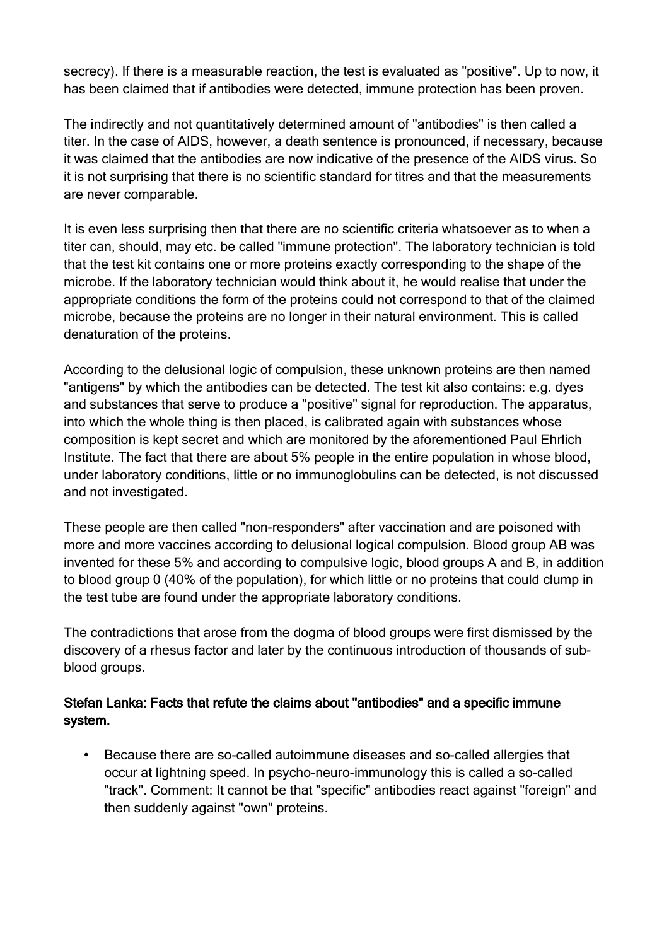secrecy). If there is a measurable reaction, the test is evaluated as "positive". Up to now, it has been claimed that if antibodies were detected, immune protection has been proven.

The indirectly and not quantitatively determined amount of "antibodies" is then called a titer. In the case of AIDS, however, a death sentence is pronounced, if necessary, because it was claimed that the antibodies are now indicative of the presence of the AIDS virus. So it is not surprising that there is no scientific standard for titres and that the measurements are never comparable.

It is even less surprising then that there are no scientific criteria whatsoever as to when a titer can, should, may etc. be called "immune protection". The laboratory technician is told that the test kit contains one or more proteins exactly corresponding to the shape of the microbe. If the laboratory technician would think about it, he would realise that under the appropriate conditions the form of the proteins could not correspond to that of the claimed microbe, because the proteins are no longer in their natural environment. This is called denaturation of the proteins.

According to the delusional logic of compulsion, these unknown proteins are then named "antigens" by which the antibodies can be detected. The test kit also contains: e.g. dyes and substances that serve to produce a "positive" signal for reproduction. The apparatus, into which the whole thing is then placed, is calibrated again with substances whose composition is kept secret and which are monitored by the aforementioned Paul Ehrlich Institute. The fact that there are about 5% people in the entire population in whose blood, under laboratory conditions, little or no immunoglobulins can be detected, is not discussed and not investigated.

These people are then called "non-responders" after vaccination and are poisoned with more and more vaccines according to delusional logical compulsion. Blood group AB was invented for these 5% and according to compulsive logic, blood groups A and B, in addition to blood group 0 (40% of the population), for which little or no proteins that could clump in the test tube are found under the appropriate laboratory conditions.

The contradictions that arose from the dogma of blood groups were first dismissed by the discovery of a rhesus factor and later by the continuous introduction of thousands of subblood groups.

### Stefan Lanka: Facts that refute the claims about "antibodies" and a specific immune system.

• Because there are so-called autoimmune diseases and so-called allergies that occur at lightning speed. In psycho-neuro-immunology this is called a so-called "track''. Comment: It cannot be that "specific" antibodies react against "foreign" and then suddenly against "own" proteins.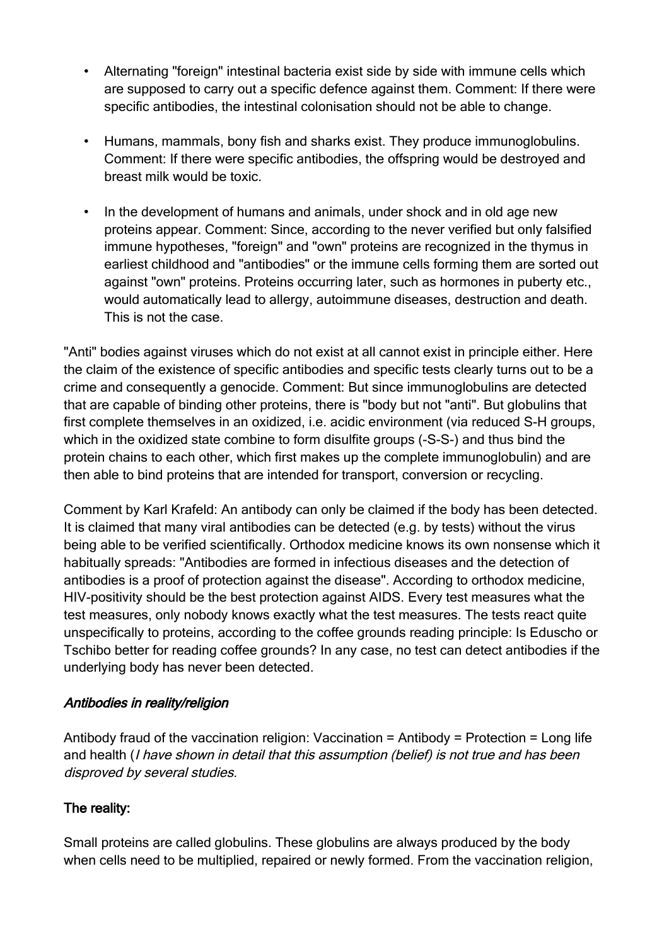- Alternating "foreign" intestinal bacteria exist side by side with immune cells which are supposed to carry out a specific defence against them. Comment: If there were specific antibodies, the intestinal colonisation should not be able to change.
- Humans, mammals, bony fish and sharks exist. They produce immunoglobulins. Comment: If there were specific antibodies, the offspring would be destroyed and breast milk would be toxic.
- In the development of humans and animals, under shock and in old age new proteins appear. Comment: Since, according to the never verified but only falsified immune hypotheses, "foreign" and "own" proteins are recognized in the thymus in earliest childhood and "antibodies" or the immune cells forming them are sorted out against "own" proteins. Proteins occurring later, such as hormones in puberty etc., would automatically lead to allergy, autoimmune diseases, destruction and death. This is not the case.

"Anti" bodies against viruses which do not exist at all cannot exist in principle either. Here the claim of the existence of specific antibodies and specific tests clearly turns out to be a crime and consequently a genocide. Comment: But since immunoglobulins are detected that are capable of binding other proteins, there is "body but not "anti". But globulins that first complete themselves in an oxidized, i.e. acidic environment (via reduced S-H groups, which in the oxidized state combine to form disulfite groups (-S-S-) and thus bind the protein chains to each other, which first makes up the complete immunoglobulin) and are then able to bind proteins that are intended for transport, conversion or recycling.

Comment by Karl Krafeld: An antibody can only be claimed if the body has been detected. It is claimed that many viral antibodies can be detected (e.g. by tests) without the virus being able to be verified scientifically. Orthodox medicine knows its own nonsense which it habitually spreads: "Antibodies are formed in infectious diseases and the detection of antibodies is a proof of protection against the disease". According to orthodox medicine, HIV-positivity should be the best protection against AIDS. Every test measures what the test measures, only nobody knows exactly what the test measures. The tests react quite unspecifically to proteins, according to the coffee grounds reading principle: Is Eduscho or Tschibo better for reading coffee grounds? In any case, no test can detect antibodies if the underlying body has never been detected.

#### Antibodies in reality/religion

Antibody fraud of the vaccination religion: Vaccination = Antibody = Protection = Long life and health (I have shown in detail that this assumption (belief) is not true and has been disproved by several studies.

### The reality:

Small proteins are called globulins. These globulins are always produced by the body when cells need to be multiplied, repaired or newly formed. From the vaccination religion,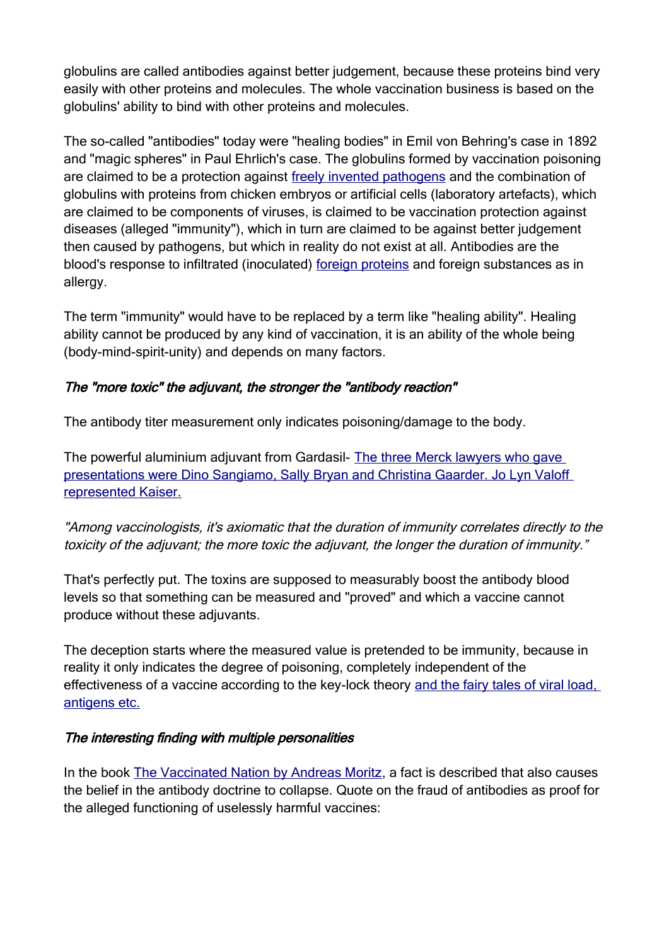globulins are called antibodies against better judgement, because these proteins bind very easily with other proteins and molecules. The whole vaccination business is based on the globulins' ability to bind with other proteins and molecules.

The so-called "antibodies" today were "healing bodies" in Emil von Behring's case in 1892 and "magic spheres" in Paul Ehrlich's case. The globulins formed by vaccination poisoning are claimed to be a protection against [freely invented pathogens](https://telegra.ph/Gerichtsprotokolle-best%C3%A4tigen-Es-existiert-kein-wissenschaftlicher-Nachweis-f%C3%BCr-das-Masernvirus-07-06) and the combination of globulins with proteins from chicken embryos or artificial cells (laboratory artefacts), which are claimed to be components of viruses, is claimed to be vaccination protection against diseases (alleged "immunity"), which in turn are claimed to be against better judgement then caused by pathogens, but which in reality do not exist at all. Antibodies are the blood's response to infiltrated (inoculated) [foreign proteins](https://impfen-nein-danke.de/fetale-zellen) and foreign substances as in allergy.

The term "immunity" would have to be replaced by a term like "healing ability". Healing ability cannot be produced by any kind of vaccination, it is an ability of the whole being (body-mind-spirit-unity) and depends on many factors.

### The "more toxic" the adjuvant, the stronger the "antibody reaction"

The antibody titer measurement only indicates poisoning/damage to the body.

The powerful aluminium adjuvant from Gardasil- The three Merck lawyers who gave [presentations were Dino Sangiamo, Sally Bryan and Christina Gaarder. Jo Lyn Valoff](https://childrenshealthdefense.org/news/court-hears-gardasil-science-and-moves-forward/)  [represented Kaiser.](https://childrenshealthdefense.org/news/court-hears-gardasil-science-and-moves-forward/)

"Among vaccinologists, it's axiomatic that the duration of immunity correlates directly to the toxicity of the adjuvant; the more toxic the adjuvant, the longer the duration of immunity."

That's perfectly put. The toxins are supposed to measurably boost the antibody blood levels so that something can be measured and "proved" and which a vaccine cannot produce without these adjuvants.

The deception starts where the measured value is pretended to be immunity, because in reality it only indicates the degree of poisoning, completely independent of the effectiveness of a vaccine according to the key-lock theory [and the fairy tales of viral load,](https://telegra.ph/PCR-Ein-DNA-Test-wird-zum-Manipulationsinstrument-06-28)  [antigens etc.](https://telegra.ph/PCR-Ein-DNA-Test-wird-zum-Manipulationsinstrument-06-28)

#### The interesting finding with multiple personalities

In the book [The Vaccinated Nation by Andreas Moritz](https://www.narayana-verlag.de/homoeopathie/pdf/Die-geimpfte-Nation-Andreas-Moritz.21741.pdf), a fact is described that also causes the belief in the antibody doctrine to collapse. Quote on the fraud of antibodies as proof for the alleged functioning of uselessly harmful vaccines: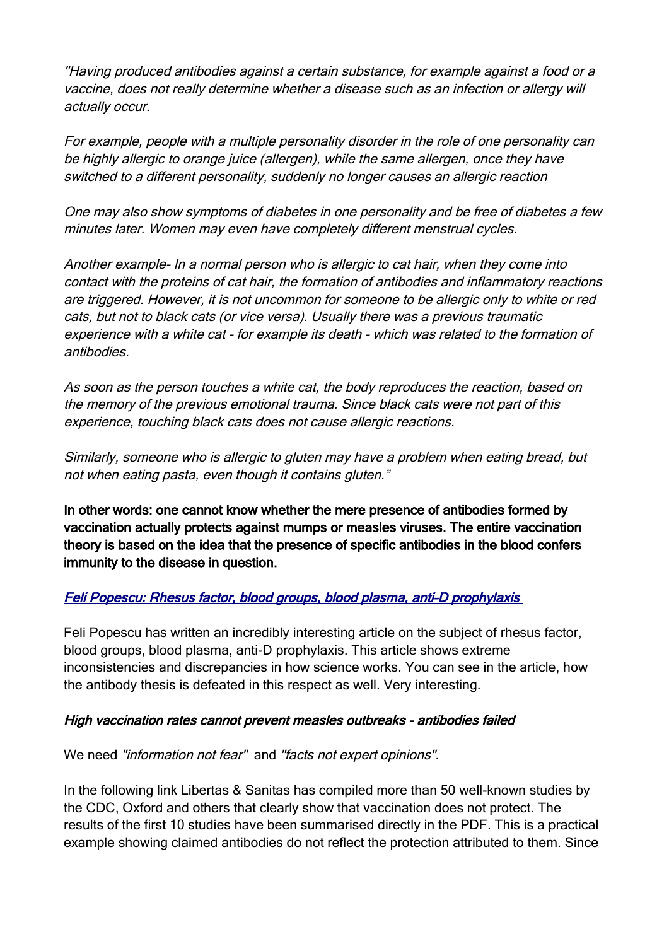"Having produced antibodies against a certain substance, for example against a food or a vaccine, does not really determine whether a disease such as an infection or allergy will actually occur.

For example, people with a multiple personality disorder in the role of one personality can be highly allergic to orange juice (allergen), while the same allergen, once they have switched to a different personality, suddenly no longer causes an allergic reaction

One may also show symptoms of diabetes in one personality and be free of diabetes a few minutes later. Women may even have completely different menstrual cycles.

Another example- In a normal person who is allergic to cat hair, when they come into contact with the proteins of cat hair, the formation of antibodies and inflammatory reactions are triggered. However, it is not uncommon for someone to be allergic only to white or red cats, but not to black cats (or vice versa). Usually there was a previous traumatic experience with a white cat - for example its death - which was related to the formation of antibodies.

As soon as the person touches a white cat, the body reproduces the reaction, based on the memory of the previous emotional trauma. Since black cats were not part of this experience, touching black cats does not cause allergic reactions.

Similarly, someone who is allergic to gluten may have a problem when eating bread, but not when eating pasta, even though it contains gluten."

In other words: one cannot know whether the mere presence of antibodies formed by vaccination actually protects against mumps or measles viruses. The entire vaccination theory is based on the idea that the presence of specific antibodies in the blood confers immunity to the disease in question.

### [Feli Popescu: Rhesus factor, blood groups, blood plasma, anti-D prophylaxis](https://impfen-nein-danke.de/u/Feli+Popescu+-+Rhesus-Faktor+Wissenschafftplus_2-2018.pdf)

Feli Popescu has written an incredibly interesting article on the subject of rhesus factor, blood groups, blood plasma, anti-D prophylaxis. This article shows extreme inconsistencies and discrepancies in how science works. You can see in the article, how the antibody thesis is defeated in this respect as well. Very interesting.

#### High vaccination rates cannot prevent measles outbreaks - antibodies failed

We need "information not fear" and "facts not expert opinions".

In the following link Libertas & Sanitas has compiled more than 50 well-known studies by the CDC, Oxford and others that clearly show that vaccination does not protect. The results of the first 10 studies have been summarised directly in the PDF. This is a practical example showing claimed antibodies do not reflect the protection attributed to them. Since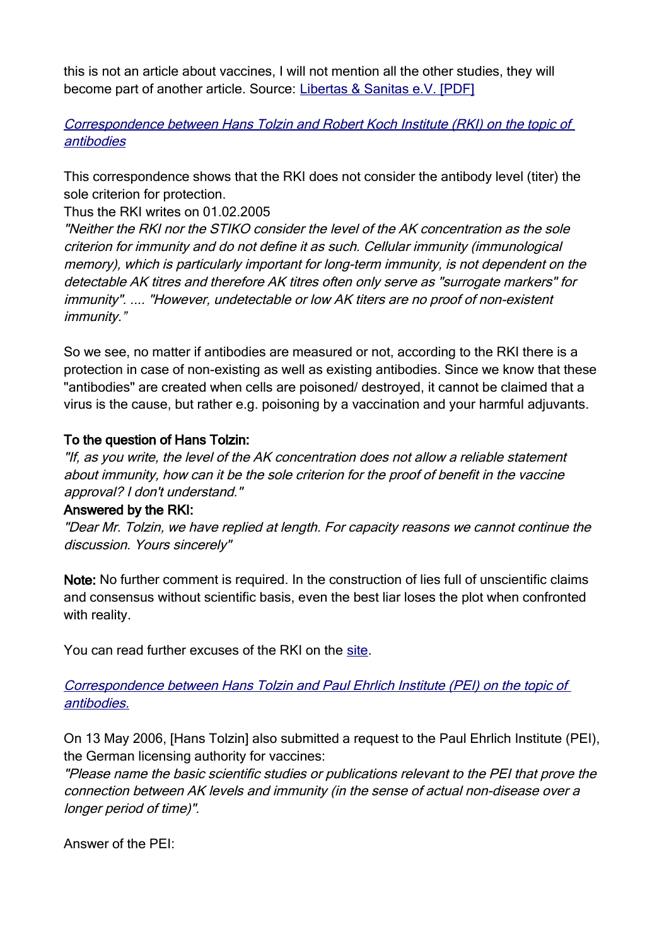this is not an article about vaccines, I will not mention all the other studies, they will become part of another article. Source: [Libertas & Sanitas e.V. \[PDF\]](http://s407929133.website-start.de/app/download/5799630982/Masernimpfung_Tatsachen_20080510.pdf)

[Correspondence between Hans Tolzin and Robert Koch Institute \(RKI\) on the topic of](https://www.impfkritik.de/antikoerpertiter/index.html)  [antibodies](https://www.impfkritik.de/antikoerpertiter/index.html)

This correspondence shows that the RKI does not consider the antibody level (titer) the sole criterion for protection.

Thus the RKI writes on 01.02.2005

"Neither the RKI nor the STIKO consider the level of the AK concentration as the sole criterion for immunity and do not define it as such. Cellular immunity (immunological memory), which is particularly important for long-term immunity, is not dependent on the detectable AK titres and therefore AK titres often only serve as "surrogate markers" for immunity". .... "However, undetectable or low AK titers are no proof of non-existent immunity."

So we see, no matter if antibodies are measured or not, according to the RKI there is a protection in case of non-existing as well as existing antibodies. Since we know that these "antibodies" are created when cells are poisoned/ destroyed, it cannot be claimed that a virus is the cause, but rather e.g. poisoning by a vaccination and your harmful adjuvants.

#### To the question of Hans Tolzin:

"If, as you write, the level of the AK concentration does not allow a reliable statement about immunity, how can it be the sole criterion for the proof of benefit in the vaccine approval? I don't understand."

#### Answered by the RKI:

"Dear Mr. Tolzin, we have replied at length. For capacity reasons we cannot continue the discussion. Yours sincerely"

Note: No further comment is required. In the construction of lies full of unscientific claims and consensus without scientific basis, even the best liar loses the plot when confronted with reality.

You can read further excuses of the RKI on the [site.](https://www.impfkritik.de/antikoerpertiter/index.html)

[Correspondence between Hans Tolzin and Paul Ehrlich Institute \(PEI\) on the topic of](https://www.impfkritik.de/antikoerpertiter/index.html)  [antibodies.](https://www.impfkritik.de/antikoerpertiter/index.html)

On 13 May 2006, [Hans Tolzin] also submitted a request to the Paul Ehrlich Institute (PEI), the German licensing authority for vaccines:

"Please name the basic scientific studies or publications relevant to the PEI that prove the connection between AK levels and immunity (in the sense of actual non-disease over a longer period of time)".

Answer of the PEI: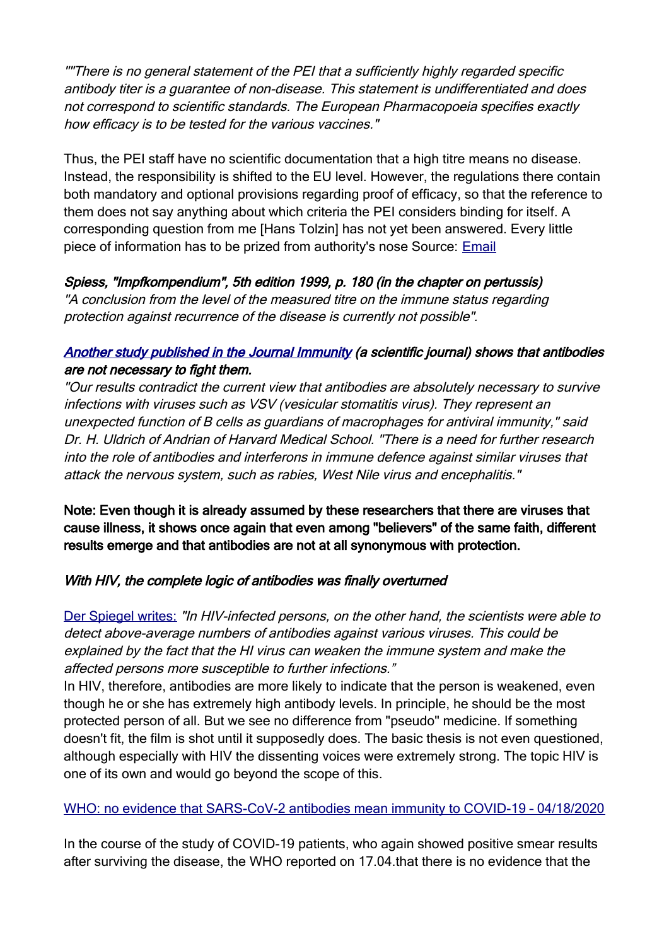""There is no general statement of the PEI that a sufficiently highly regarded specific antibody titer is a guarantee of non-disease. This statement is undifferentiated and does not correspond to scientific standards. The European Pharmacopoeia specifies exactly how efficacy is to be tested for the various vaccines."

Thus, the PEI staff have no scientific documentation that a high titre means no disease. Instead, the responsibility is shifted to the EU level. However, the regulations there contain both mandatory and optional provisions regarding proof of efficacy, so that the reference to them does not say anything about which criteria the PEI considers binding for itself. A corresponding question from me [Hans Tolzin] has not yet been answered. Every little piece of information has to be prized from authority's nose Source: [Email](https://www.impfkritik.de/upload/pdf/antikoerpertiter/Aussage_AK-Titer.pdf)

### Spiess, "Impfkompendium", 5th edition 1999, p. 180 (in the chapter on pertussis)

"A conclusion from the level of the measured titre on the immune status regarding protection against recurrence of the disease is currently not possible".

#### Another study published in the Journal Immunity (a scientific journal) shows that antibodies are not necessary to fight them.

"Our results contradict the current view that antibodies are absolutely necessary to survive infections with viruses such as VSV (vesicular stomatitis virus). They represent an unexpected function of B cells as guardians of macrophages for antiviral immunity," said Dr. H. Uldrich of Andrian of Harvard Medical School. "There is a need for further research into the role of antibodies and interferons in immune defence against similar viruses that attack the nervous system, such as rabies, West Nile virus and encephalitis."

Note: Even though it is already assumed by these researchers that there are viruses that cause illness, it shows once again that even among "believers" of the same faith, different results emerge and that antibodies are not at all synonymous with protection.

#### With HIV, the complete logic of antibodies was finally overturned

[Der Spiegel writes:](https://www.spiegel.de/gesundheit/diagnose/bluttest-erkennt-die-virus-infektionen-des-lebens-a-1037290.html) "In HIV-infected persons, on the other hand, the scientists were able to detect above-average numbers of antibodies against various viruses. This could be explained by the fact that the HI virus can weaken the immune system and make the affected persons more susceptible to further infections."

In HIV, therefore, antibodies are more likely to indicate that the person is weakened, even though he or she has extremely high antibody levels. In principle, he should be the most protected person of all. But we see no difference from "pseudo" medicine. If something doesn't fit, the film is shot until it supposedly does. The basic thesis is not even questioned, although especially with HIV the dissenting voices were extremely strong. The topic HIV is one of its own and would go beyond the scope of this.

### [WHO: no evidence that SARS-CoV-2 antibodies mean immunity to COVID-19 – 04/18/2020](https://impf-info.de/82-coronoia/314-coronoia.html#who-kein-beweis-dass-sars-cov-2-antik%C3%B6rper-immunit%C3%A4t-gegen-covid-19-bedeuten-18-04-2020)

In the course of the study of COVID-19 patients, who again showed positive smear results after surviving the disease, the WHO reported on 17.04.that there is no evidence that the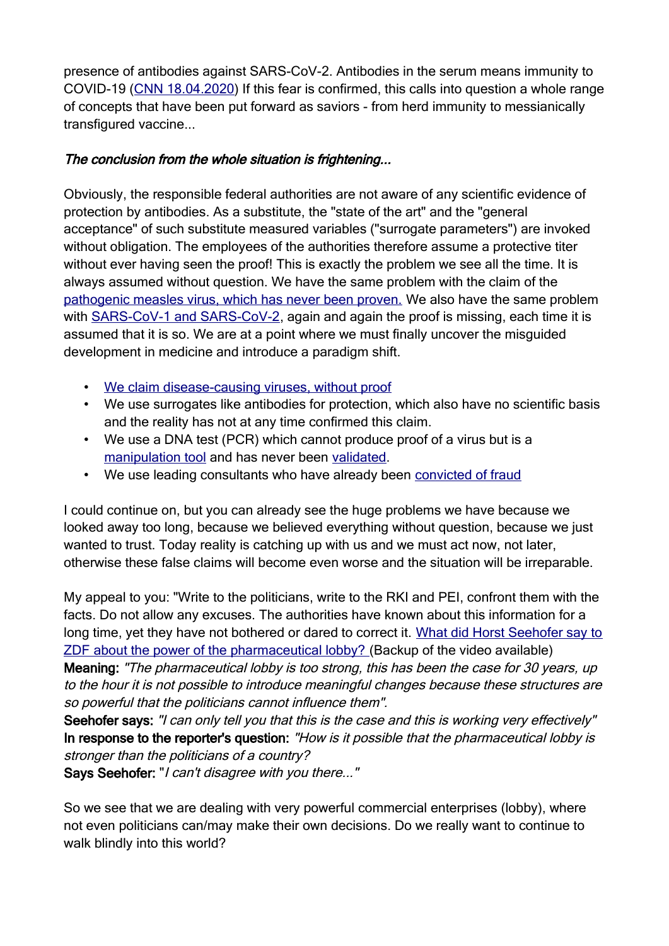presence of antibodies against SARS-CoV-2. Antibodies in the serum means immunity to COVID-19 [\(CNN 18.04.2020\)](https://edition.cnn.com/world/live-news/coronavirus-pandemic-04-18-20-intl/h_e0d2a136beef210445661ea9cce09f53) If this fear is confirmed, this calls into question a whole range of concepts that have been put forward as saviors - from herd immunity to messianically transfigured vaccine...

#### The conclusion from the whole situation is frightening...

Obviously, the responsible federal authorities are not aware of any scientific evidence of protection by antibodies. As a substitute, the "state of the art" and the "general acceptance" of such substitute measured variables ("surrogate parameters") are invoked without obligation. The employees of the authorities therefore assume a protective titer without ever having seen the proof! This is exactly the problem we see all the time. It is always assumed without question. We have the same problem with the claim of the [pathogenic measles virus, which has never been proven.](https://telegra.ph/Gerichtsprotokolle-best%C3%A4tigen-Es-existiert-kein-wissenschaftlicher-Nachweis-f%C3%BCr-das-Masernvirus-07-06) We also have the same problem with [SARS-CoV-1 and SARS-CoV-2](https://telegra.ph/Alle-f%C3%BChrenden-Wissenschaftler-best%C3%A4tigen-COVID-19-existiert-nicht-07-03), again and again the proof is missing, each time it is assumed that it is so. We are at a point where we must finally uncover the misguided development in medicine and introduce a paradigm shift.

- • [We claim disease-causing viruses, without proof](https://telegra.ph/Alle-f%C3%BChrenden-Wissenschaftler-best%C3%A4tigen-COVID-19-existiert-nicht-07-03)
- We use surrogates like antibodies for protection, which also have no scientific basis and the reality has not at any time confirmed this claim.
- We use a DNA test (PCR) which cannot produce proof of a virus but is a [manipulation tool](https://telegra.ph/PCR-Ein-DNA-Test-wird-zum-Manipulationsinstrument-06-28) and has never been [validated.](https://telegra.ph/Der-PCR-Test-ist-nicht-validiert-06-25)
- We use leading consultants who have already been [convicted of fraud](https://telegra.ph/Der-Wissenschaftsbetrug-durch-Prof-Christian-Drosten-07-10)

I could continue on, but you can already see the huge problems we have because we looked away too long, because we believed everything without question, because we just wanted to trust. Today reality is catching up with us and we must act now, not later, otherwise these false claims will become even worse and the situation will be irreparable.

My appeal to you: "Write to the politicians, write to the RKI and PEI, confront them with the facts. Do not allow any excuses. The authorities have known about this information for a long time, yet they have not bothered or dared to correct it. [What did Horst Seehofer say to](https://www.youtube.com/watch?v=TZDgjPWfZUg&feature=youtu.be) [ZDF about the power of the pharmaceutical lobby? \(](https://www.youtube.com/watch?v=TZDgjPWfZUg&feature=youtu.be)Backup of the video available) Meaning: "The pharmaceutical lobby is too strong, this has been the case for 30 years, up to the hour it is not possible to introduce meaningful changes because these structures are so powerful that the politicians cannot influence them".

Seehofer says: "I can only tell you that this is the case and this is working very effectively" In response to the reporter's question: "How is it possible that the pharmaceutical lobby is stronger than the politicians of a country?

Says Seehofer: "I can't disagree with you there..."

So we see that we are dealing with very powerful commercial enterprises (lobby), where not even politicians can/may make their own decisions. Do we really want to continue to walk blindly into this world?